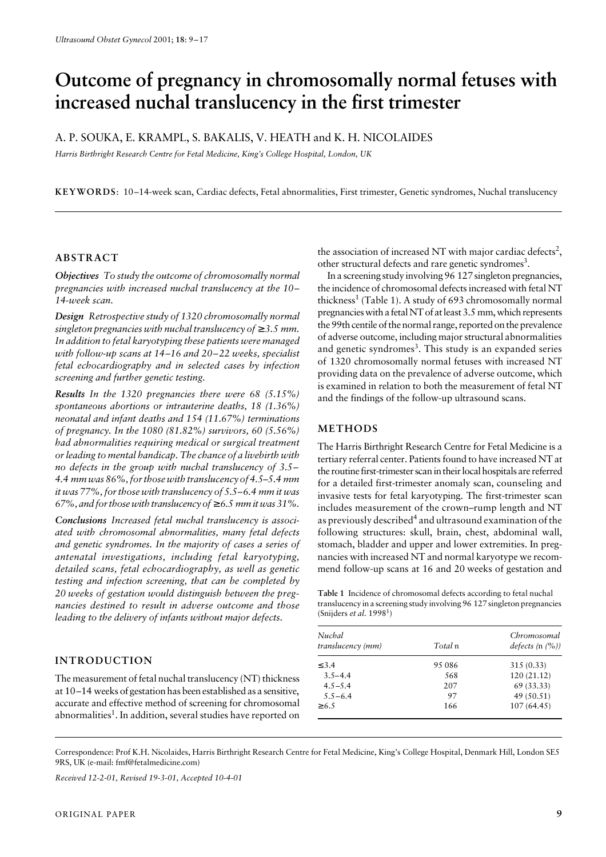# Dutcome of pregnancy in chromosomally normal fetuses with **increased nuchal translucency in the first trimester**

A. P. SOUKA, E. KRAMPL, S. BAKALIS, V. HEATH and K. H. NICOLAIDES

*Harris Birthright Research Centre for Fetal Medicine, King's College Hospital, London, UK*

**KEYWORDS**: 10–14-week scan, Cardiac defects, Fetal abnormalities, First trimester, Genetic syndromes, Nuchal translucency

# **ABSTRACT**

*Objectives To study the outcome of chromosomally normal pregnancies with increased nuchal translucency at the 10– 14-week scan.*

*Design Retrospective study of 1320 chromosomally normal singleton pregnancies with nuchal translucency of*  $\geq$  3.5 mm. *In addition to fetal karyotyping these patients were managed with follow-up scans at 14–16 and 20–22 weeks, specialist fetal echocardiography and in selected cases by infection screening and further genetic testing.*

*Results In the 1320 pregnancies there were 68 (5.15%) spontaneous abortions or intrauterine deaths, 18 (1.36%) neonatal and infant deaths and 154 (11.67%) terminations of pregnancy. In the 1080 (81.82%) survivors, 60 (5.56%) had abnormalities requiring medical or surgical treatment or leading to mental handicap. The chance of a livebirth with no defects in the group with nuchal translucency of 3.5– 4.4 mm was 86%, for those with translucency of 4.5–5.4 mm it was 77%, for those with translucency of 5.5–6.4 mm it was 67%, and for those with translucency of* ≥ *6.5 mm it was 31%.*

*Conclusions Increased fetal nuchal translucency is associated with chromosomal abnormalities, many fetal defects and genetic syndromes. In the majority of cases a series of antenatal investigations, including fetal karyotyping, detailed scans, fetal echocardiography, as well as genetic testing and infection screening, that can be completed by 20 weeks of gestation would distinguish between the pregnancies destined to result in adverse outcome and those leading to the delivery of infants without major defects.*

# **INTRODUCTION**

The measurement of fetal nuchal translucency (NT) thickness at 10–14 weeks of gestation has been established as a sensitive, accurate and effective method of screening for chromosomal abnormalities<sup>1</sup>. In addition, several studies have reported on

the association of increased NT with major cardiac defects<sup>2</sup>, other structural defects and rare genetic syndromes<sup>3</sup>.

In a screening study involving 96 127 singleton pregnancies, the incidence of chromosomal defects increased with fetal NT thickness<sup>1</sup> (Table 1). A study of 693 chromosomally normal pregnancies with a fetal NT of at least 3.5 mm, which represents the 99th centile of the normal range, reported on the prevalence of adverse outcome, including major structural abnormalities and genetic syndromes<sup>3</sup>. This study is an expanded series of 1320 chromosomally normal fetuses with increased NT providing data on the prevalence of adverse outcome, which is examined in relation to both the measurement of fetal NT and the findings of the follow-up ultrasound scans.

# **METHODS**

The Harris Birthright Research Centre for Fetal Medicine is a tertiary referral center. Patients found to have increased NT at the routine first-trimester scan in their local hospitals are referred for a detailed first-trimester anomaly scan, counseling and invasive tests for fetal karyotyping. The first-trimester scan includes measurement of the crown–rump length and NT as previously described<sup>4</sup> and ultrasound examination of the following structures: skull, brain, chest, abdominal wall, stomach, bladder and upper and lower extremities. In pregnancies with increased NT and normal karyotype we recommend follow-up scans at 16 and 20 weeks of gestation and

**Table 1** Incidence of chromosomal defects according to fetal nuchal translucency in a screening study involving 96 127 singleton pregnancies (Snijders *et al.* 1998<sup>1</sup>)

| Total n | Chromosomal<br>defects $(n \ (\%)$ |
|---------|------------------------------------|
| 95 086  | 315 (0.33)                         |
| 568     | 120(21.12)                         |
| 207     | 69(33.33)                          |
| 97      | 49 (50.51)                         |
| 166     | 107(64.45)                         |
|         |                                    |

Correspondence: Prof K.H. Nicolaides, Harris Birthright Research Centre for Fetal Medicine, King's College Hospital, Denmark Hill, London SE5 9RS, UK (e-mail: fmf@fetalmedicine.com)

*Received 12-2-01, Revised 19-3-01, Accepted 10-4-01*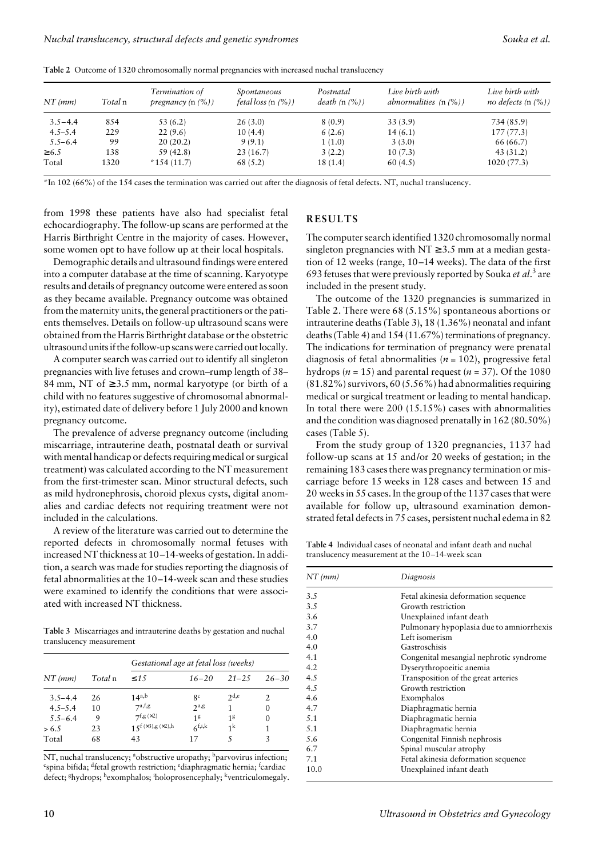| $NT$ (mm)   | Total n | Termination of<br>pregnancy $(n \, (%)$ | Spontaneous<br>fetal loss $(n \, (%)$ | Postnatal<br>death $(n \, (%)$ | Live birth with<br>abnormalities $(n \, (%)$ | Live birth with<br><i>no defects</i> (n $(\%)$ ) |
|-------------|---------|-----------------------------------------|---------------------------------------|--------------------------------|----------------------------------------------|--------------------------------------------------|
| $3.5 - 4.4$ | 854     | 53 (6.2)                                | 26(3.0)                               | 8(0.9)                         | 33(3.9)                                      | 734 (85.9)                                       |
| $4.5 - 5.4$ | 229     | 22(9.6)                                 | 10(4.4)                               | 6(2.6)                         | 14(6.1)                                      | 177(77.3)                                        |
| $5.5 - 6.4$ | 99      | 20(20.2)                                | 9(9.1)                                | 1(1.0)                         | 3(3.0)                                       | 66 (66.7)                                        |
| $\geq 6.5$  | 138     | 59 (42.8)                               | 23(16.7)                              | 3(2.2)                         | 10(7.3)                                      | 43(31.2)                                         |
| Total       | 1320    | $*154(11.7)$                            | 68 (5.2)                              | 18 (1.4)                       | 60(4.5)                                      | 1020(77.3)                                       |

**Table 2** Outcome of 1320 chromosomally normal pregnancies with increased nuchal translucency

\*In 102 (66%) of the 154 cases the termination was carried out after the diagnosis of fetal defects. NT, nuchal translucency.

from 1998 these patients have also had specialist fetal echocardiography. The follow-up scans are performed at the Harris Birthright Centre in the majority of cases. However, some women opt to have follow up at their local hospitals.

Demographic details and ultrasound findings were entered into a computer database at the time of scanning. Karyotype results and details of pregnancy outcome were entered as soon as they became available. Pregnancy outcome was obtained from the maternity units, the general practitioners or the patients themselves. Details on follow-up ultrasound scans were obtained from the Harris Birthright database or the obstetric ultrasound units if the follow-up scans were carried out locally.

A computer search was carried out to identify all singleton pregnancies with live fetuses and crown–rump length of 38– 84 mm, NT of  $\geq$  3.5 mm, normal karyotype (or birth of a child with no features suggestive of chromosomal abnormality), estimated date of delivery before 1 July 2000 and known pregnancy outcome.

The prevalence of adverse pregnancy outcome (including miscarriage, intrauterine death, postnatal death or survival with mental handicap or defects requiring medical or surgical treatment) was calculated according to the NT measurement from the first-trimester scan. Minor structural defects, such as mild hydronephrosis, choroid plexus cysts, digital anomalies and cardiac defects not requiring treatment were not included in the calculations.

A review of the literature was carried out to determine the reported defects in chromosomally normal fetuses with increased NT thickness at 10–14-weeks of gestation. In addition, a search was made for studies reporting the diagnosis of fetal abnormalities at the 10–14-week scan and these studies were examined to identify the conditions that were associated with increased NT thickness.

**Table 3** Miscarriages and intrauterine deaths by gestation and nuchal translucency measurement

|             |         | Gestational age at fetal loss (weeks) |             |                |               |  |  |
|-------------|---------|---------------------------------------|-------------|----------------|---------------|--|--|
| $NT$ (mm)   | Total n | $\leq 1.5$                            | $16 - 20$   | $21 - 25$      | $26 - 30$     |  |  |
| $3.5 - 4.4$ | 26      | $14^{a,b}$                            | gc          | 2d,e           | $\mathcal{P}$ |  |  |
| $4.5 - 5.4$ | 10      | 7a,f,g                                | $2^{a,g}$   |                | $\theta$      |  |  |
| $5.5 - 6.4$ | 9       | 7f, g(x2)                             | 18          | 18             | $\theta$      |  |  |
| > 6.5       | 23      | $15^{(x3),g(x2),h}$                   | $6^{f,i,k}$ | 1 <sup>k</sup> |               |  |  |
| Total       | 68      | 43                                    | 17          | ١              | 3             |  |  |

NT, nuchal translucency; <sup>a</sup>obstructive uropathy; <sup>b</sup>parvovirus infection;<br><sup>e</sup>spina bifida: <sup>d</sup>estal growth restriction; <sup>e</sup>diaphragmatic herpia: <sup>f</sup>eardiac spina bifida; <sup>d</sup>fetal growth restriction; <sup>e</sup>diaphragmatic hernia; <sup>f</sup>cardiac defect; <sup>g</sup>hydrops; hexomphalos; iholoprosencephaly; <sup>k</sup>ventriculomegaly.

# **RESULTS**

The computer search identified 1320 chromosomally normal singleton pregnancies with  $NT \ge 3.5$  mm at a median gestation of 12 weeks (range, 10–14 weeks). The data of the first 693 fetuses that were previously reported by Souka *et al*. 3 are included in the present study.

The outcome of the 1320 pregnancies is summarized in Table 2. There were 68 (5.15%) spontaneous abortions or intrauterine deaths (Table 3), 18 (1.36%) neonatal and infant deaths (Table 4) and 154 (11.67%) terminations of pregnancy. The indications for termination of pregnancy were prenatal diagnosis of fetal abnormalities (*n* = 102), progressive fetal hydrops ( $n = 15$ ) and parental request ( $n = 37$ ). Of the 1080 (81.82%) survivors, 60 (5.56%) had abnormalities requiring medical or surgical treatment or leading to mental handicap. In total there were 200 (15.15%) cases with abnormalities and the condition was diagnosed prenatally in 162 (80.50%) cases (Table 5).

From the study group of 1320 pregnancies, 1137 had follow-up scans at 15 and/or 20 weeks of gestation; in the remaining 183 cases there was pregnancy termination or miscarriage before 15 weeks in 128 cases and between 15 and 20 weeks in 55 cases. In the group of the 1137 cases that were available for follow up, ultrasound examination demonstrated fetal defects in 75 cases, persistent nuchal edema in 82

**Table 4** Individual cases of neonatal and infant death and nuchal translucency measurement at the 10–14-week scan

| $NT$ (mm) | Diagnosis                                |  |  |  |
|-----------|------------------------------------------|--|--|--|
| 3.5       | Fetal akinesia deformation sequence      |  |  |  |
| 3.5       | Growth restriction                       |  |  |  |
| 3.6       | Unexplained infant death                 |  |  |  |
| 3.7       | Pulmonary hypoplasia due to amniorrhexis |  |  |  |
| 4.0       | Left isomerism                           |  |  |  |
| 4.0       | Gastroschisis                            |  |  |  |
| 4.1       | Congenital mesangial nephrotic syndrome  |  |  |  |
| 4.2       | Dyserythropoeitic anemia                 |  |  |  |
| 4.5       | Transposition of the great arteries      |  |  |  |
| 4.5       | Growth restriction                       |  |  |  |
| 4.6       | Exomphalos                               |  |  |  |
| 4.7       | Diaphragmatic hernia                     |  |  |  |
| 5.1       | Diaphragmatic hernia                     |  |  |  |
| 5.1       | Diaphragmatic hernia                     |  |  |  |
| 5.6       | Congenital Finnish nephrosis             |  |  |  |
| 6.7       | Spinal muscular atrophy                  |  |  |  |
| 7.1       | Fetal akinesia deformation sequence      |  |  |  |
| 10.0      | Unexplained infant death                 |  |  |  |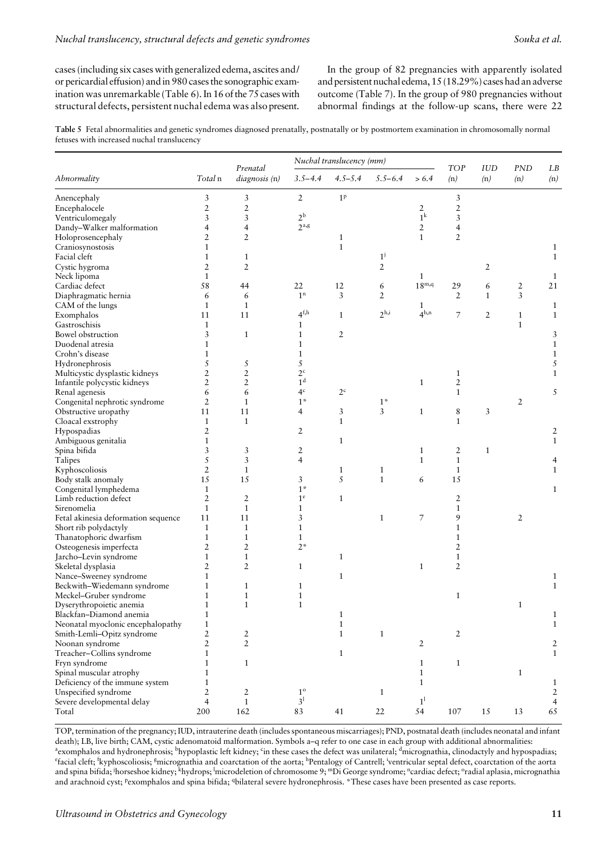cases (including six cases with generalized edema, ascites and/ or pericardial effusion) and in 980 cases the sonographic examination was unremarkable (Table 6). In 16 of the 75 cases with structural defects, persistent nuchal edema was also present.

In the group of 82 pregnancies with apparently isolated and persistent nuchal edema, 15 (18.29%) cases had an adverse outcome (Table 7). In the group of 980 pregnancies without abnormal findings at the follow-up scans, there were 22

**Table 5** Fetal abnormalities and genetic syndromes diagnosed prenatally, postnatally or by postmortem examination in chromosomally normal fetuses with increased nuchal translucency

|                                                    |                | Prenatal       | Nuchal translucency (mm)<br><b>TOP</b><br><b>IUD</b> |                |                  |                          |                |                |                   |                     |
|----------------------------------------------------|----------------|----------------|------------------------------------------------------|----------------|------------------|--------------------------|----------------|----------------|-------------------|---------------------|
| Abnormality                                        | Total n        | diagnosis (n)  | $3.5 - 4.4$                                          | $4.5 - 5.4$    | $5.5 - 6.4$      | > 6.4                    | (n)            | (n)            | <b>PND</b><br>(n) | LB<br>(n)           |
| Anencephaly                                        | 3              | 3              | $\sqrt{2}$                                           | 1 <sup>p</sup> |                  |                          | 3              |                |                   |                     |
| Encephalocele                                      | $\overline{2}$ | $\overline{c}$ |                                                      |                |                  | $\overline{2}$           | $\sqrt{2}$     |                |                   |                     |
| Ventriculomegaly                                   | 3              | 3              | $2^{\rm b}$                                          |                |                  | $1^k$                    | 3              |                |                   |                     |
| Dandy-Walker malformation                          | 4              | 4              | 2 <sup>a,g</sup>                                     |                |                  | $\overline{2}$           | $\overline{4}$ |                |                   |                     |
| Holoprosencephaly                                  | $\overline{2}$ | $\overline{2}$ |                                                      | 1              |                  | $\mathbf{1}$             | $\overline{2}$ |                |                   |                     |
| Craniosynostosis                                   | 1              |                |                                                      | $\mathbf{1}$   |                  |                          |                |                |                   | $\mathbf{1}$        |
| Facial cleft                                       | $\mathbf{1}$   | $\mathbf{1}$   |                                                      |                | $1^{j}$          |                          |                |                |                   | $\mathbf{1}$        |
| Cystic hygroma                                     | 2              | $\overline{2}$ |                                                      |                | 2                |                          |                | 2              |                   |                     |
| Neck lipoma                                        | $\mathbf{1}$   |                |                                                      |                |                  | 1                        |                |                |                   | $\mathbf{1}$        |
| Cardiac defect                                     | 58             | 44             | 22                                                   | 12             | 6                | $18^{\text{m},\text{q}}$ | 29             | 6              | 2                 | 21                  |
| Diaphragmatic hernia                               | 6              | 6              | 1 <sup>n</sup>                                       | 3              | $\overline{2}$   |                          | $\overline{2}$ | $\mathbf{1}$   | 3                 |                     |
| CAM of the lungs                                   | $\mathbf{1}$   | $\mathbf{1}$   |                                                      |                |                  | 1                        |                |                |                   | $\mathbf{1}$        |
| Exomphalos                                         | 11             | 11             | 4 <sup>f,h</sup>                                     | $\mathbf{1}$   | 2 <sup>h,i</sup> | 4 <sup>h,n</sup>         | 7              | $\overline{2}$ | $\mathbf{1}$      | $\mathbf{1}$        |
| Gastroschisis                                      | $\mathbf{1}$   |                | 1                                                    |                |                  |                          |                |                | $\mathbf{1}$      |                     |
| Bowel obstruction                                  |                |                | 1                                                    |                |                  |                          |                |                |                   |                     |
|                                                    | 3              | $\mathbf{1}$   | $\mathbf{1}$                                         | $\overline{2}$ |                  |                          |                |                |                   | 3                   |
| Duodenal atresia                                   | 1              |                |                                                      |                |                  |                          |                |                |                   | $\mathbf{1}$        |
| Crohn's disease                                    | 1              |                | 1                                                    |                |                  |                          |                |                |                   | $\mathbf{1}$        |
| Hydronephrosis                                     | 5              | 5              | 5                                                    |                |                  |                          |                |                |                   | 5                   |
| Multicystic dysplastic kidneys                     | 2              | $\overline{2}$ | 2 <sup>c</sup>                                       |                |                  |                          | $\mathbf{1}$   |                |                   | $\mathbf{1}$        |
| Infantile polycystic kidneys                       | $\overline{2}$ | $\overline{2}$ | 1 <sup>d</sup>                                       |                |                  | $\mathbf{1}$             | $\sqrt{2}$     |                |                   |                     |
| Renal agenesis                                     | 6              | 6              | 4 <sup>c</sup>                                       | $2^{\circ}$    |                  |                          | $\mathbf{1}$   |                |                   | 5                   |
| Congenital nephrotic syndrome                      | $\overline{2}$ | $\mathbf{1}$   | $1^\ast$                                             |                | $1*$             |                          |                |                | 2                 |                     |
| Obstructive uropathy                               | 11             | 11             | $\overline{4}$                                       | 3              | $\overline{3}$   | $\mathbf{1}$             | 8              | 3              |                   |                     |
| Cloacal exstrophy                                  | $\mathbf{1}$   | $\mathbf{1}$   |                                                      | $\mathbf{1}$   |                  |                          | $\mathbf{1}$   |                |                   |                     |
| Hypospadias                                        | $\overline{2}$ |                | $\overline{2}$                                       |                |                  |                          |                |                |                   | $\overline{2}$      |
| Ambiguous genitalia                                | 1              |                |                                                      | $\mathbf{1}$   |                  |                          |                |                |                   | $\mathbf{1}$        |
| Spina bifida                                       | 3              | 3              | 2                                                    |                |                  | $\mathbf{1}$             | $\overline{2}$ | $\mathbf{1}$   |                   |                     |
| Talipes                                            | 5              | 3              | 4                                                    |                |                  | $\mathbf{1}$             | $\mathbf{1}$   |                |                   | 4                   |
| Kyphoscoliosis                                     | $\overline{2}$ | $\mathbf{1}$   |                                                      | 1              | $\mathbf{1}$     |                          | $\mathbf{1}$   |                |                   | $\mathbf{1}$        |
| Body stalk anomaly                                 | 15             | 15             | 3                                                    | 5              | $\mathbf{1}$     | 6                        | 15             |                |                   |                     |
| Congenital lymphedema                              | 1              |                | $1^*$                                                |                |                  |                          |                |                |                   | $\mathbf{1}$        |
| Limb reduction defect                              | $\overline{2}$ | $\overline{2}$ | 1 <sup>e</sup>                                       | $\mathbf{1}$   |                  |                          | $\overline{2}$ |                |                   |                     |
| Sirenomelia                                        | $\mathbf{1}$   | $\mathbf{1}$   | 1                                                    |                |                  |                          | $\mathbf{1}$   |                |                   |                     |
| Fetal akinesia deformation sequence                | 11             | 11             | 3                                                    |                | $\mathbf{1}$     | 7                        | 9              |                | 2                 |                     |
| Short rib polydactyly                              | $\mathbf{1}$   | $\mathbf{1}$   | $\mathbf{1}$                                         |                |                  |                          | $\mathbf{1}$   |                |                   |                     |
| Thanatophoric dwarfism                             | $\mathbf{1}$   | $\mathbf{1}$   | $\mathbf{1}$                                         |                |                  |                          | $\mathbf{1}$   |                |                   |                     |
| Osteogenesis imperfecta                            | 2              | $\overline{2}$ | $2*$                                                 |                |                  |                          | $\overline{2}$ |                |                   |                     |
| Jarcho-Levin syndrome                              | 1              | 1              |                                                      | $\mathbf{1}$   |                  |                          | $\mathbf{1}$   |                |                   |                     |
| Skeletal dysplasia                                 | $\overline{2}$ | $\overline{2}$ | $\mathbf{1}$                                         |                |                  | $\mathbf{1}$             | $\overline{2}$ |                |                   |                     |
| Nance-Sweeney syndrome                             | 1              |                |                                                      | $\mathbf{1}$   |                  |                          |                |                |                   | $\mathbf{1}$        |
| Beckwith-Wiedemann syndrome                        | 1              | 1              | 1                                                    |                |                  |                          |                |                |                   | $\mathbf{1}$        |
| Meckel-Gruber syndrome                             | $\mathbf{1}$   | $\mathbf{1}$   | $\mathbf{1}$                                         |                |                  |                          | $\mathbf{1}$   |                |                   |                     |
| Dyserythropoietic anemia                           | 1              |                | 1                                                    |                |                  |                          |                |                | 1                 |                     |
| Blackfan-Diamond anemia                            | $\mathbf{1}$   |                |                                                      | $\,1\,$        |                  |                          |                |                |                   | $\mathbf{1}$        |
| Neonatal myoclonic encephalopathy                  | $\mathbf{1}$   |                |                                                      | $\mathbf{1}$   |                  |                          |                |                |                   | $\mathbf{1}$        |
| Smith-Lemli-Opitz syndrome                         | $\sqrt{2}$     | $\overline{2}$ |                                                      | $\mathbf{1}$   | $\mathbf{1}$     |                          | $\overline{2}$ |                |                   |                     |
| Noonan syndrome                                    | $\overline{2}$ | $\mathbf 2$    |                                                      |                |                  | $\overline{2}$           |                |                |                   | 2                   |
| Treacher-Collins syndrome                          | 1              |                |                                                      | $\mathbf{1}$   |                  |                          |                |                |                   | $\mathbf{1}$        |
| Fryn syndrome                                      | 1              | $\mathbf{1}$   |                                                      |                |                  | $\mathbf{1}$             | $\mathbf{1}$   |                |                   |                     |
| Spinal muscular atrophy                            | 1              |                |                                                      |                |                  | $\mathbf{1}$             |                |                | $\mathbf{1}$      |                     |
| Deficiency of the immune system                    | 1              |                |                                                      |                |                  | $\mathbf{1}$             |                |                |                   |                     |
|                                                    | $\overline{2}$ | $\overline{2}$ | $1^{\rm o}$                                          |                | $\mathbf{1}$     |                          |                |                |                   | 1<br>$\overline{2}$ |
| Unspecified syndrome<br>Severe developmental delay | $\overline{4}$ | $\mathbf{1}$   | $3^{\rm l}$                                          |                |                  | 1 <sup>1</sup>           |                |                |                   | 4                   |
|                                                    |                |                |                                                      |                |                  |                          |                |                |                   |                     |
| Total                                              | 200            | 162            | 83                                                   | 41             | 22               | 54                       | 107            | 15             | 13                | 65                  |

TOP, termination of the pregnancy; IUD, intrauterine death (includes spontaneous miscarriages); PND, postnatal death (includes neonatal and infant death); LB, live birth; CAM, cystic adenomatoid malformation. Symbols a-q refer to one case in each group with additional abnormalities: exomphalos and hydronephrosis; <sup>b</sup>hypoplastic left kidney; <sup>c</sup>in these cases the defect was unilateral; <sup>d</sup>micrognathia, clinodactyly and hypospadias;<br><sup>e</sup>fecial cleft: <sup>f</sup>leuphoscoliosis: <sup>Emicrograthia and coarctation of </sup> facial cleft; <sup>f</sup>kyphoscoliosis; <sup>g</sup>micrognathia and coarctation of the aorta; <sup>h</sup>Pentalogy of Cantrell; <sup>i</sup>ventricular septal defect, coarctation of the aorta and spina bifida; <sup>i</sup>horseshoe kidney; <sup>k</sup>hydrops; <sup>i</sup>microdeletion of chromosome 9; "Di George syndrome; "cardiac defect; <sup>o</sup>radial aplasia, micrognathia and arachnoid cyst; <sup>p</sup>exomphalos and spina bifida; <sup>q</sup>bilateral severe hydronephrosis. \*These cases have been presented as case reports.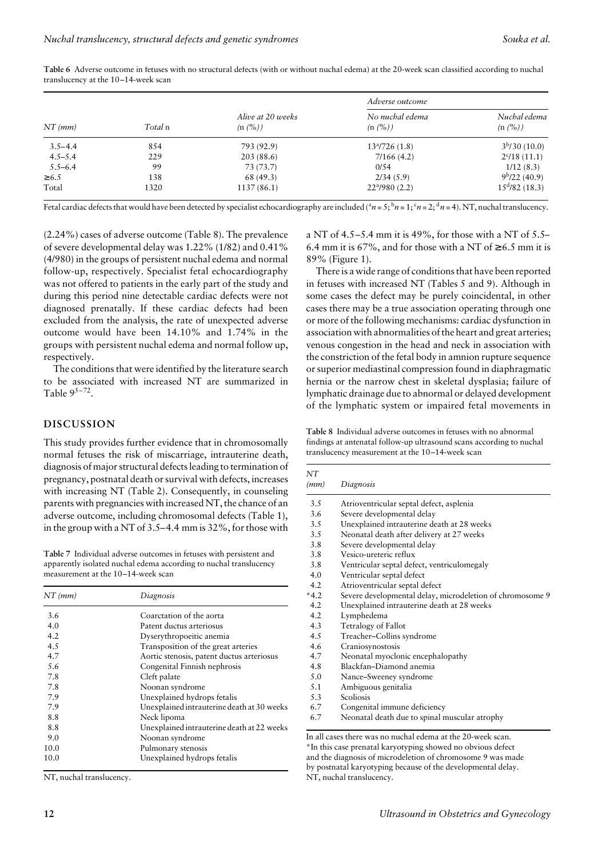| $NT$ ( $mm$ ) |         |                              | Adverse outcome            |                           |  |
|---------------|---------|------------------------------|----------------------------|---------------------------|--|
|               | Total n | Alive at 20 weeks<br>(n (%)) | No nuchal edema<br>(n (%)) | Nuchal edema<br>(n (%))   |  |
| $3.5 - 4.4$   | 854     | 793 (92.9)                   | $13^{a}/726(1.8)$          | 3 <sup>b</sup> /30(10.0)  |  |
| $4.5 - 5.4$   | 229     | 203(88.6)                    | 7/166(4.2)                 | $2^c/18(11.1)$            |  |
| $5.5 - 6.4$   | 99      | 73 (73.7)                    | 0/54                       | 1/12(8.3)                 |  |
| $\geq 6.5$    | 138     | 68(49.3)                     | 2/34(5.9)                  | $9b/22$ (40.9)            |  |
| Total         | 1320    | 1137(86.1)                   | $22^{\alpha}/980(2.2)$     | $15^{\text{d}}/82$ (18.3) |  |

**Table 6** Adverse outcome in fetuses with no structural defects (with or without nuchal edema) at the 20-week scan classified according to nuchal translucency at the 10–14-week scan

Fetal cardiac defects that would have been detected by specialist echocardiography are included ( ${}^a n = 5$ ;  ${}^b n = 1$ ;  ${}^c n = 2$ ;  ${}^d n = 4$ ). NT, nuchal translucency.

(2.24%) cases of adverse outcome (Table 8). The prevalence of severe developmental delay was 1.22% (1/82) and 0.41% (4/980) in the groups of persistent nuchal edema and normal follow-up, respectively. Specialist fetal echocardiography was not offered to patients in the early part of the study and during this period nine detectable cardiac defects were not diagnosed prenatally. If these cardiac defects had been excluded from the analysis, the rate of unexpected adverse outcome would have been 14.10% and 1.74% in the groups with persistent nuchal edema and normal follow up, respectively.

The conditions that were identified by the literature search to be associated with increased NT are summarized in Table  $9^{5-72}$ .

### **DISCUSSION**

This study provides further evidence that in chromosomally normal fetuses the risk of miscarriage, intrauterine death, diagnosis of major structural defects leading to termination of pregnancy, postnatal death or survival with defects, increases with increasing NT (Table 2). Consequently, in counseling parents with pregnancies with increased NT, the chance of an adverse outcome, including chromosomal defects (Table 1), in the group with a NT of 3.5–4.4 mm is 32%, for those with

**Table 7** Individual adverse outcomes in fetuses with persistent and apparently isolated nuchal edema according to nuchal translucency measurement at the 10–14-week scan

| $NT$ (mm) | Diagnosis                                  |
|-----------|--------------------------------------------|
| 3.6       | Coarctation of the aorta                   |
| 4.0       | Patent ductus arteriosus                   |
| 4.2       | Dyserythropoeitic anemia                   |
| 4.5       | Transposition of the great arteries        |
| 4.7       | Aortic stenosis, patent ductus arteriosus  |
| 5.6       | Congenital Finnish nephrosis               |
| 7.8       | Cleft palate                               |
| 7.8       | Noonan syndrome                            |
| 7.9       | Unexplained hydrops fetalis                |
| 7.9       | Unexplained intrauterine death at 30 weeks |
| 8.8       | Neck lipoma                                |
| 8.8       | Unexplained intrauterine death at 22 weeks |
| 9.0       | Noonan syndrome                            |
| 10.0      | Pulmonary stenosis                         |
| 10.0      | Unexplained hydrops fetalis                |

NT, nuchal translucency.

a NT of 4.5–5.4 mm it is 49%, for those with a NT of 5.5– 6.4 mm it is 67%, and for those with a NT of  $\geq$  6.5 mm it is 89% (Figure 1).

There is a wide range of conditions that have been reported in fetuses with increased NT (Tables 5 and 9). Although in some cases the defect may be purely coincidental, in other cases there may be a true association operating through one or more of the following mechanisms: cardiac dysfunction in association with abnormalities of the heart and great arteries; venous congestion in the head and neck in association with the constriction of the fetal body in amnion rupture sequence or superior mediastinal compression found in diaphragmatic hernia or the narrow chest in skeletal dysplasia; failure of lymphatic drainage due to abnormal or delayed development of the lymphatic system or impaired fetal movements in

**Table 8** Individual adverse outcomes in fetuses with no abnormal findings at antenatal follow-up ultrasound scans according to nuchal translucency measurement at the 10–14-week scan

| NT<br>(mm) | Diagnosis                                                 |
|------------|-----------------------------------------------------------|
| 3.5        | Atrioventricular septal defect, asplenia                  |
| 3.6        | Severe developmental delay                                |
| 3.5        | Unexplained intrauterine death at 28 weeks                |
| 3.5        | Neonatal death after delivery at 27 weeks                 |
| 3.8        | Severe developmental delay                                |
| 3.8        | Vesico-ureteric reflux                                    |
| 3.8        | Ventricular septal defect, ventriculomegaly               |
| 4.0        | Ventricular septal defect                                 |
| 4.2        | Atrioventricular septal defect                            |
| $*4.2$     | Severe developmental delay, microdeletion of chromosome 9 |
| 4.2        | Unexplained intrauterine death at 28 weeks                |
| 4.2        | Lymphedema                                                |
| 4.3        | Tetralogy of Fallot                                       |
| 4.5        | Treacher-Collins syndrome                                 |
| 4.6        | Craniosynostosis                                          |
| 4.7        | Neonatal myoclonic encephalopathy                         |
| 4.8        | Blackfan-Diamond anemia                                   |
| 5.0        | Nance-Sweeney syndrome                                    |
| 5.1        | Ambiguous genitalia                                       |
| 5.3        | Scoliosis                                                 |
| 6.7        | Congenital immune deficiency                              |
| 6.7        | Neonatal death due to spinal muscular atrophy             |

\*In this case prenatal karyotyping showed no obvious defect and the diagnosis of microdeletion of chromosome 9 was made by postnatal karyotyping because of the developmental delay. NT, nuchal translucency.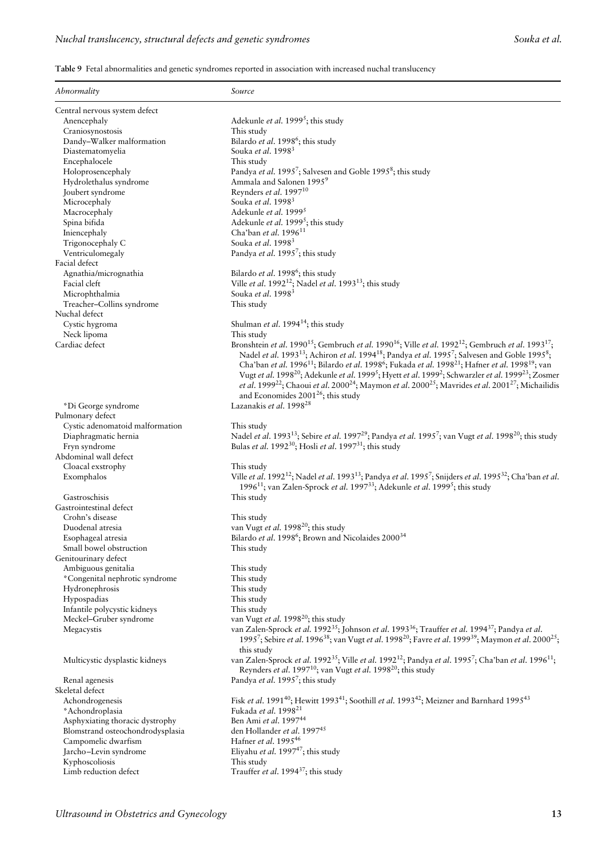**Table 9** Fetal abnormalities and genetic syndromes reported in association with increased nuchal translucency

| Abnormality                      | Source                                                                                                                                                                                                                                       |
|----------------------------------|----------------------------------------------------------------------------------------------------------------------------------------------------------------------------------------------------------------------------------------------|
| Central nervous system defect    |                                                                                                                                                                                                                                              |
| Anencephaly                      | Adekunle et al. 1999 <sup>5</sup> ; this study                                                                                                                                                                                               |
| Craniosynostosis                 | This study                                                                                                                                                                                                                                   |
| Dandy-Walker malformation        | Bilardo et al. 1998 <sup>6</sup> ; this study                                                                                                                                                                                                |
| Diastematomyelia                 | Souka et al. 19983                                                                                                                                                                                                                           |
| Encephalocele                    | This study                                                                                                                                                                                                                                   |
| Holoprosencephaly                | Pandya et al. 1995 <sup>7</sup> ; Salvesen and Goble 1995 <sup>8</sup> ; this study                                                                                                                                                          |
| Hydrolethalus syndrome           | Ammala and Salonen 1995 <sup>9</sup>                                                                                                                                                                                                         |
| Joubert syndrome                 | Reynders et al. 1997 <sup>10</sup>                                                                                                                                                                                                           |
| Microcephaly                     | Souka et al. 1998 <sup>3</sup>                                                                                                                                                                                                               |
| Macrocephaly                     | Adekunle et al. 1999 <sup>5</sup>                                                                                                                                                                                                            |
| Spina bifida                     | Adekunle et al. 1999 <sup>5</sup> ; this study                                                                                                                                                                                               |
| Iniencephaly                     | Cha'ban et al. 1996 <sup>11</sup>                                                                                                                                                                                                            |
| Trigonocephaly C                 | Souka et al. 1998 <sup>3</sup>                                                                                                                                                                                                               |
| Ventriculomegaly                 | Pandya et al. 1995 <sup>7</sup> ; this study                                                                                                                                                                                                 |
| Facial defect                    |                                                                                                                                                                                                                                              |
|                                  |                                                                                                                                                                                                                                              |
| Agnathia/micrognathia            | Bilardo et al. 1998 <sup>6</sup> ; this study                                                                                                                                                                                                |
| Facial cleft                     | Ville et al. 1992 <sup>12</sup> ; Nadel et al. 1993 <sup>13</sup> ; this study                                                                                                                                                               |
| Microphthalmia                   | Souka et al. 1998 <sup>3</sup>                                                                                                                                                                                                               |
| Treacher-Collins syndrome        | This study                                                                                                                                                                                                                                   |
| Nuchal defect                    |                                                                                                                                                                                                                                              |
| Cystic hygroma                   | Shulman et al. 1994 <sup>14</sup> ; this study                                                                                                                                                                                               |
| Neck lipoma                      | This study                                                                                                                                                                                                                                   |
| Cardiac defect                   | Bronshtein et al. 1990 <sup>15</sup> ; Gembruch et al. 1990 <sup>16</sup> ; Ville et al. 1992 <sup>12</sup> ; Gembruch et al. 1993 <sup>17</sup> ;                                                                                           |
|                                  | Nadel et al. 1993 <sup>13</sup> ; Achiron et al. 1994 <sup>18</sup> ; Pandya et al. 1995 <sup>7</sup> ; Salvesen and Goble 1995 <sup>8</sup> ;                                                                                               |
|                                  | Cha'ban et al. 1996 <sup>11</sup> ; Bilardo et al. 1998 <sup>6</sup> ; Fukada et al. 1998 <sup>21</sup> ; Hafner et al. 1998 <sup>19</sup> ; van                                                                                             |
|                                  | Vugt et al. 1998 <sup>20</sup> ; Adekunle et al. 1999 <sup>5</sup> ; Hyett et al. 1999 <sup>2</sup> ; Schwarzler et al. 1999 <sup>23</sup> ; Zosmer                                                                                          |
|                                  | et al. 1999 <sup>22</sup> ; Chaoui et al. 2000 <sup>24</sup> ; Maymon et al. 2000 <sup>25</sup> ; Mavrides et al. 2001 <sup>27</sup> ; Michailidis                                                                                           |
|                                  | and Economides $2001^{26}$ ; this study                                                                                                                                                                                                      |
| *Di George syndrome              | Lazanakis et al. 1998 <sup>28</sup>                                                                                                                                                                                                          |
| Pulmonary defect                 |                                                                                                                                                                                                                                              |
| Cystic adenomatoid malformation  | This study                                                                                                                                                                                                                                   |
|                                  | Nadel et al. 1993 <sup>13</sup> ; Sebire et al. 1997 <sup>29</sup> ; Pandya et al. 1995 <sup>7</sup> ; van Vugt et al. 1998 <sup>20</sup> ; this study                                                                                       |
| Diaphragmatic hernia             |                                                                                                                                                                                                                                              |
| Fryn syndrome                    | Bulas et al. 1992 <sup>30</sup> ; Hosli et al. 1997 <sup>31</sup> ; this study                                                                                                                                                               |
| Abdominal wall defect            |                                                                                                                                                                                                                                              |
| Cloacal exstrophy                | This study                                                                                                                                                                                                                                   |
| Exomphalos                       | Ville et al. 1992 <sup>12</sup> ; Nadel et al. 1993 <sup>13</sup> ; Pandya et al. 1995 <sup>7</sup> ; Snijders et al. 1995 <sup>32</sup> ; Cha'ban et al.                                                                                    |
|                                  | 1996 <sup>11</sup> ; van Zalen-Sprock et al. 1997 <sup>33</sup> ; Adekunle et al. 1999 <sup>5</sup> ; this study                                                                                                                             |
| Gastroschisis                    | This study                                                                                                                                                                                                                                   |
| Gastrointestinal defect          |                                                                                                                                                                                                                                              |
| Crohn's disease                  | This study                                                                                                                                                                                                                                   |
| Duodenal atresia                 | van Vugt et al. 1998 <sup>20</sup> ; this study                                                                                                                                                                                              |
| Esophageal atresia               | Bilardo et al. 1998 <sup>6</sup> ; Brown and Nicolaides 2000 <sup>34</sup>                                                                                                                                                                   |
| Small bowel obstruction          | This study                                                                                                                                                                                                                                   |
| Genitourinary defect             |                                                                                                                                                                                                                                              |
| Ambiguous genitalia              | This study                                                                                                                                                                                                                                   |
| *Congenital nephrotic syndrome   | This study                                                                                                                                                                                                                                   |
| Hydronephrosis                   | This study                                                                                                                                                                                                                                   |
| Hypospadias                      | This study                                                                                                                                                                                                                                   |
| Infantile polycystic kidneys     | This study                                                                                                                                                                                                                                   |
| Meckel-Gruber syndrome           | van Vugt et al. 1998 <sup>20</sup> ; this study                                                                                                                                                                                              |
|                                  | van Zalen-Sprock et al. 1992 <sup>35</sup> ; Johnson et al. 1993 <sup>36</sup> ; Trauffer et al. 1994 <sup>37</sup> ; Pandya et al.                                                                                                          |
| Megacystis                       | 1995 <sup>7</sup> ; Sebire et al. 1996 <sup>38</sup> ; van Vugt et al. 1998 <sup>20</sup> ; Favre et al. 1999 <sup>39</sup> ; Maymon et al. 2000 <sup>25</sup> ;<br>this study                                                               |
| Multicystic dysplastic kidneys   | van Zalen-Sprock et al. 1992 <sup>35</sup> ; Ville et al. 1992 <sup>12</sup> ; Pandya et al. 1995 <sup>7</sup> ; Cha'ban et al. 1996 <sup>11</sup> ;<br>Reynders et al. 1997 <sup>10</sup> ; van Vugt et al. 1998 <sup>20</sup> ; this study |
| Renal agenesis                   | Pandya et al. 1995 <sup>7</sup> ; this study                                                                                                                                                                                                 |
| Skeletal defect                  |                                                                                                                                                                                                                                              |
| Achondrogenesis                  | Fisk et al. 1991 <sup>40</sup> ; Hewitt 1993 <sup>41</sup> ; Soothill et al. 1993 <sup>42</sup> ; Meizner and Barnhard 1995 <sup>43</sup>                                                                                                    |
| *Achondroplasia                  | Fukada et al. 1998 <sup>21</sup>                                                                                                                                                                                                             |
| Asphyxiating thoracic dystrophy  | Ben Ami et al. 1997 <sup>44</sup>                                                                                                                                                                                                            |
|                                  | den Hollander et al. 199745                                                                                                                                                                                                                  |
| Blomstrand osteochondrodysplasia | Hafner et al. 1995 <sup>46</sup>                                                                                                                                                                                                             |
| Campomelic dwarfism              |                                                                                                                                                                                                                                              |
| Jarcho-Levin syndrome            | Eliyahu et al. 1997 $^{47}$ ; this study                                                                                                                                                                                                     |
| Kyphoscoliosis                   | This study                                                                                                                                                                                                                                   |
| Limb reduction defect            | Trauffer et al. 1994 <sup>37</sup> ; this study                                                                                                                                                                                              |
|                                  |                                                                                                                                                                                                                                              |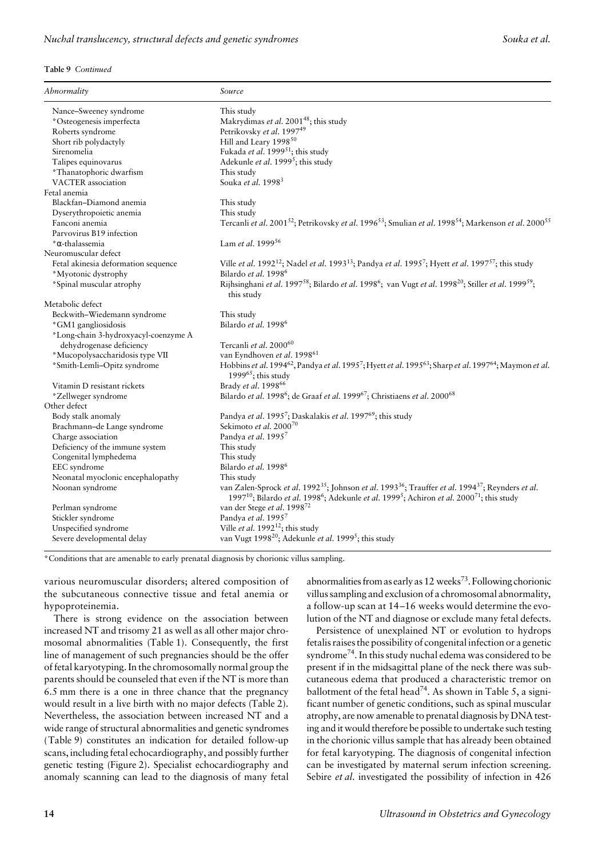#### **Table 9** *Continued*

| Abnormality                          | Source                                                                                                                                                                                                                                                                              |
|--------------------------------------|-------------------------------------------------------------------------------------------------------------------------------------------------------------------------------------------------------------------------------------------------------------------------------------|
| Nance-Sweeney syndrome               | This study                                                                                                                                                                                                                                                                          |
| *Osteogenesis imperfecta             | Makrydimas et al. 2001 <sup>48</sup> ; this study                                                                                                                                                                                                                                   |
| Roberts syndrome                     | Petrikovsky et al. 199749                                                                                                                                                                                                                                                           |
| Short rib polydactyly                | Hill and Leary 1998 <sup>50</sup>                                                                                                                                                                                                                                                   |
| Sirenomelia                          | Fukada et al. 1999 <sup>51</sup> ; this study                                                                                                                                                                                                                                       |
| Talipes equinovarus                  | Adekunle et al. 1999 <sup>5</sup> ; this study                                                                                                                                                                                                                                      |
| *Thanatophoric dwarfism              | This study                                                                                                                                                                                                                                                                          |
| <b>VACTER</b> association            | Souka et al. 1998 <sup>3</sup>                                                                                                                                                                                                                                                      |
| Fetal anemia                         |                                                                                                                                                                                                                                                                                     |
| Blackfan-Diamond anemia              | This study                                                                                                                                                                                                                                                                          |
| Dyserythropoietic anemia             | This study                                                                                                                                                                                                                                                                          |
| Fanconi anemia                       | Tercanli et al. 2001 <sup>52</sup> ; Petrikovsky et al. 1996 <sup>53</sup> ; Smulian et al. 1998 <sup>54</sup> ; Markenson et al. 2000 <sup>55</sup>                                                                                                                                |
| Parvovirus B19 infection             |                                                                                                                                                                                                                                                                                     |
| *α-thalassemia                       | Lam et al. 199956                                                                                                                                                                                                                                                                   |
| Neuromuscular defect                 |                                                                                                                                                                                                                                                                                     |
| Fetal akinesia deformation sequence  | Ville et al. 1992 <sup>12</sup> ; Nadel et al. 1993 <sup>13</sup> ; Pandya et al. 1995 <sup>7</sup> ; Hyett et al. 1997 <sup>57</sup> ; this study                                                                                                                                  |
| *Myotonic dystrophy                  | Bilardo et al. 1998 <sup>6</sup>                                                                                                                                                                                                                                                    |
| *Spinal muscular atrophy             | Rijhsinghani et al. 1997 <sup>58</sup> ; Bilardo et al. 1998 <sup>6</sup> ; van Vugt et al. 1998 <sup>20</sup> ; Stiller et al. 1999 <sup>59</sup> ;<br>this study                                                                                                                  |
| Metabolic defect                     |                                                                                                                                                                                                                                                                                     |
| Beckwith-Wiedemann syndrome          | This study                                                                                                                                                                                                                                                                          |
| *GM1 gangliosidosis                  | Bilardo et al. 1998 <sup>6</sup>                                                                                                                                                                                                                                                    |
| *Long-chain 3-hydroxyacyl-coenzyme A |                                                                                                                                                                                                                                                                                     |
| dehydrogenase deficiency             | Tercanli et al. 2000 <sup>60</sup>                                                                                                                                                                                                                                                  |
| *Mucopolysaccharidosis type VII      | van Eyndhoven et al. 1998 <sup>61</sup>                                                                                                                                                                                                                                             |
| *Smith-Lemli-Opitz syndrome          | Hobbins et al. 1994 <sup>62</sup> , Pandya et al. 1995 <sup>7</sup> ; Hyett et al. 1995 <sup>63</sup> ; Sharp et al. 1997 <sup>64</sup> ; Maymon et al.<br>1999 $65$ ; this study                                                                                                   |
| Vitamin D resistant rickets          | Brady et al. 1998 <sup>66</sup>                                                                                                                                                                                                                                                     |
| *Zellweger syndrome                  | Bilardo et al. 1998 <sup>6</sup> ; de Graaf et al. 1999 <sup>67</sup> ; Christiaens et al. 2000 <sup>68</sup>                                                                                                                                                                       |
| Other defect                         |                                                                                                                                                                                                                                                                                     |
| Body stalk anomaly                   | Pandya et al. 1995 <sup>7</sup> ; Daskalakis et al. 1997 <sup>69</sup> ; this study                                                                                                                                                                                                 |
| Brachmann-de Lange syndrome          | Sekimoto et al. 2000 <sup>70</sup>                                                                                                                                                                                                                                                  |
| Charge association                   | Pandya et al. 19957                                                                                                                                                                                                                                                                 |
| Deficiency of the immune system      | This study                                                                                                                                                                                                                                                                          |
| Congenital lymphedema                | This study                                                                                                                                                                                                                                                                          |
| EEC syndrome                         | Bilardo et al. 1998 <sup>6</sup>                                                                                                                                                                                                                                                    |
| Neonatal myoclonic encephalopathy    | This study                                                                                                                                                                                                                                                                          |
| Noonan syndrome                      | van Zalen-Sprock et al. 1992 <sup>35</sup> ; Johnson et al. 1993 <sup>36</sup> ; Trauffer et al. 1994 <sup>37</sup> ; Reynders et al.<br>1997 <sup>10</sup> ; Bilardo et al. 1998 <sup>6</sup> ; Adekunle et al. 1999 <sup>5</sup> ; Achiron et al. 2000 <sup>71</sup> ; this study |
| Perlman syndrome                     | van der Stege et al. 1998 <sup>72</sup>                                                                                                                                                                                                                                             |
| Stickler syndrome                    | Pandya et al. 19957                                                                                                                                                                                                                                                                 |
| Unspecified syndrome                 | Ville et al. $1992^{12}$ ; this study                                                                                                                                                                                                                                               |
| Severe developmental delay           | van Vugt 1998 <sup>20</sup> ; Adekunle et al. 1999 <sup>5</sup> ; this study                                                                                                                                                                                                        |

\*Conditions that are amenable to early prenatal diagnosis by chorionic villus sampling.

various neuromuscular disorders; altered composition of the subcutaneous connective tissue and fetal anemia or hypoproteinemia.

There is strong evidence on the association between increased NT and trisomy 21 as well as all other major chromosomal abnormalities (Table 1). Consequently, the first line of management of such pregnancies should be the offer of fetal karyotyping. In the chromosomally normal group the parents should be counseled that even if the NT is more than 6.5 mm there is a one in three chance that the pregnancy would result in a live birth with no major defects (Table 2). Nevertheless, the association between increased NT and a wide range of structural abnormalities and genetic syndromes (Table 9) constitutes an indication for detailed follow-up scans, including fetal echocardiography, and possibly further genetic testing (Figure 2). Specialist echocardiography and anomaly scanning can lead to the diagnosis of many fetal

abnormalities from as early as  $12$  weeks<sup>73</sup>. Following chorionic villus sampling and exclusion of a chromosomal abnormality, a follow-up scan at 14–16 weeks would determine the evolution of the NT and diagnose or exclude many fetal defects.

Persistence of unexplained NT or evolution to hydrops fetalis raises the possibility of congenital infection or a genetic syndrome<sup>74</sup>. In this study nuchal edema was considered to be present if in the midsagittal plane of the neck there was subcutaneous edema that produced a characteristic tremor on ballotment of the fetal head<sup>74</sup>. As shown in Table 5, a significant number of genetic conditions, such as spinal muscular atrophy, are now amenable to prenatal diagnosis by DNA testing and it would therefore be possible to undertake such testing in the chorionic villus sample that has already been obtained for fetal karyotyping. The diagnosis of congenital infection can be investigated by maternal serum infection screening. Sebire *et al*. investigated the possibility of infection in 426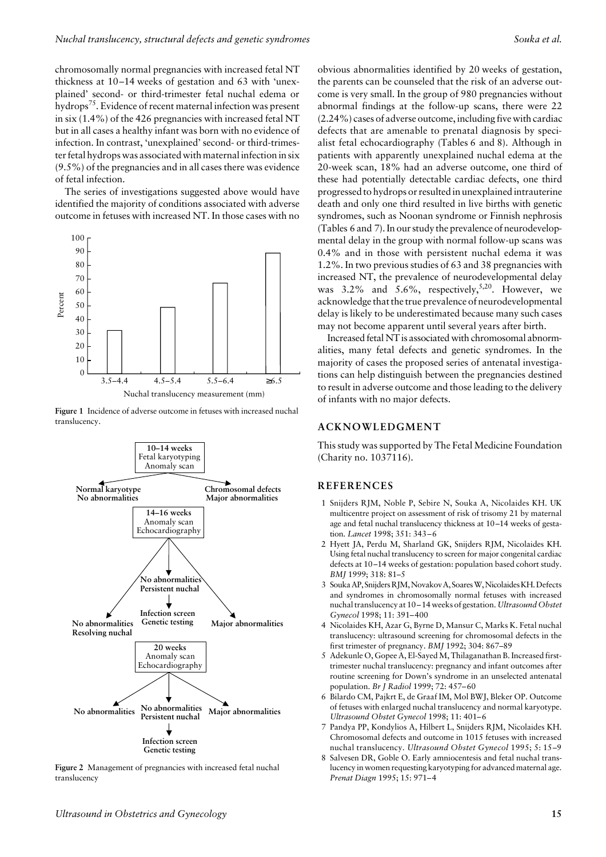chromosomally normal pregnancies with increased fetal NT thickness at 10–14 weeks of gestation and 63 with 'unexplained' second- or third-trimester fetal nuchal edema or hydrops<sup>75</sup>. Evidence of recent maternal infection was present in six (1.4%) of the 426 pregnancies with increased fetal NT but in all cases a healthy infant was born with no evidence of infection. In contrast, 'unexplained' second- or third-trimester fetal hydrops was associated with maternal infection in six (9.5%) of the pregnancies and in all cases there was evidence of fetal infection.

The series of investigations suggested above would have identified the majority of conditions associated with adverse outcome in fetuses with increased NT. In those cases with no



**Figure 1** Incidence of adverse outcome in fetuses with increased nuchal translucency.



**Figure 2** Management of pregnancies with increased fetal nuchal translucency

obvious abnormalities identified by 20 weeks of gestation, the parents can be counseled that the risk of an adverse outcome is very small. In the group of 980 pregnancies without abnormal findings at the follow-up scans, there were 22 (2.24%) cases of adverse outcome, including five with cardiac defects that are amenable to prenatal diagnosis by specialist fetal echocardiography (Tables 6 and 8). Although in patients with apparently unexplained nuchal edema at the 20-week scan, 18% had an adverse outcome, one third of these had potentially detectable cardiac defects, one third progressed to hydrops or resulted in unexplained intrauterine death and only one third resulted in live births with genetic syndromes, such as Noonan syndrome or Finnish nephrosis (Tables 6 and 7). In our study the prevalence of neurodevelopmental delay in the group with normal follow-up scans was 0.4% and in those with persistent nuchal edema it was 1.2%. In two previous studies of 63 and 38 pregnancies with increased NT, the prevalence of neurodevelopmental delay was  $3.2\%$  and  $5.6\%$ , respectively,<sup>5,20</sup>. However, we acknowledge that the true prevalence of neurodevelopmental delay is likely to be underestimated because many such cases may not become apparent until several years after birth.

Increased fetal NT is associated with chromosomal abnormalities, many fetal defects and genetic syndromes. In the majority of cases the proposed series of antenatal investigations can help distinguish between the pregnancies destined to result in adverse outcome and those leading to the delivery of infants with no major defects.

# **ACKNOWLEDGMENT**

This study was supported by The Fetal Medicine Foundation (Charity no. 1037116).

# **REFERENCES**

- 1 Snijders RJM, Noble P, Sebire N, Souka A, Nicolaides KH. UK multicentre project on assessment of risk of trisomy 21 by maternal age and fetal nuchal translucency thickness at 10–14 weeks of gestation. *Lancet* 1998; 351: 343–6
- 2 Hyett JA, Perdu M, Sharland GK, Snijders RJM, Nicolaides KH. Using fetal nuchal translucency to screen for major congenital cardiac defects at 10–14 weeks of gestation: population based cohort study. *BMJ* 1999; 318: 81–5
- 3 Souka AP, Snijders RJM, Novakov A, Soares W, Nicolaides KH. Defects and syndromes in chromosomally normal fetuses with increased nuchal translucency at 10–14 weeks of gestation. *Ultrasound Obstet Gynecol* 1998; 11: 391–400
- 4 Nicolaides KH, Azar G, Byrne D, Mansur C, Marks K. Fetal nuchal translucency: ultrasound screening for chromosomal defects in the first trimester of pregnancy. *BMJ* 1992; 304: 867–89
- 5 Adekunle O, Gopee A, El-Sayed M, Thilaganathan B. Increased firsttrimester nuchal translucency: pregnancy and infant outcomes after routine screening for Down's syndrome in an unselected antenatal population. *Br J Radiol* 1999; 72: 457–60
- 6 Bilardo CM, Pajkrt E, de Graaf IM, Mol BWJ, Bleker OP. Outcome of fetuses with enlarged nuchal translucency and normal karyotype. *Ultrasound Obstet Gynecol* 1998; 11: 401–6
- 7 Pandya PP, Kondylios A, Hilbert L, Snijders RJM, Nicolaides KH. Chromosomal defects and outcome in 1015 fetuses with increased nuchal translucency. *Ultrasound Obstet Gynecol* 1995; 5: 15–9
- 8 Salvesen DR, Goble O. Early amniocentesis and fetal nuchal translucency in women requesting karyotyping for advanced maternal age. *Prenat Diagn* 1995; 15: 971–4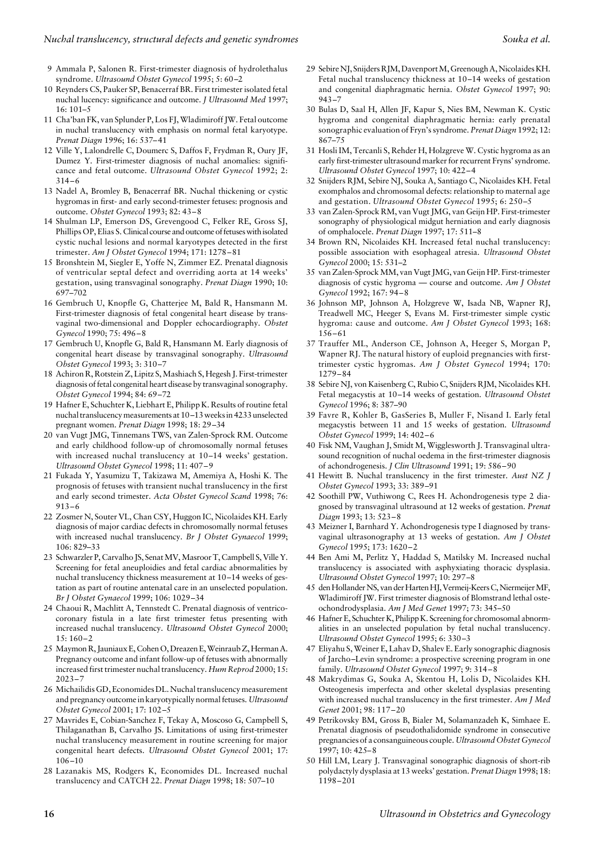- 9 Ammala P, Salonen R. First-trimester diagnosis of hydrolethalus syndrome. *Ultrasound Obstet Gynecol* 1995; 5: 60–2
- 10 Reynders CS, Pauker SP, Benacerraf BR. First trimester isolated fetal nuchal lucency: significance and outcome. *J Ultrasound Med* 1997; 16: 101–5
- 11 Cha'ban FK, van Splunder P, Los FJ, Wladimiroff JW. Fetal outcome in nuchal translucency with emphasis on normal fetal karyotype. *Prenat Diagn* 1996; 16: 537–41
- 12 Ville Y, Lalondrelle C, Doumerc S, Daffos F, Frydman R, Oury JF, Dumez Y. First-trimester diagnosis of nuchal anomalies: significance and fetal outcome. *Ultrasound Obstet Gynecol* 1992; 2: 314–6
- 13 Nadel A, Bromley B, Benacerraf BR. Nuchal thickening or cystic hygromas in first- and early second-trimester fetuses: prognosis and outcome. *Obstet Gynecol* 1993; 82: 43–8
- 14 Shulman LP, Emerson DS, Grevengood C, Felker RE, Gross SJ, Phillips OP, Elias S. Clinical course and outcome of fetuses with isolated cystic nuchal lesions and normal karyotypes detected in the first trimester. *Am J Obstet Gynecol* 1994; 171: 1278–81
- 15 Bronshtein M, Siegler E, Yoffe N, Zimmer EZ. Prenatal diagnosis of ventricular septal defect and overriding aorta at 14 weeks' gestation, using transvaginal sonography. *Prenat Diagn* 1990; 10: 697–702
- 16 Gembruch U, Knopfle G, Chatterjee M, Bald R, Hansmann M. First-trimester diagnosis of fetal congenital heart disease by transvaginal two-dimensional and Doppler echocardiography. *Obstet Gynecol* 1990; 75: 496–8
- 17 Gembruch U, Knopfle G, Bald R, Hansmann M. Early diagnosis of congenital heart disease by transvaginal sonography. *Ultrasound Obstet Gynecol* 1993; 3: 310–7
- 18 Achiron R, Rotstein Z, Lipitz S, Mashiach S, Hegesh J. First-trimester diagnosis of fetal congenital heart disease by transvaginal sonography. *Obstet Gynecol* 1994; 84: 69–72
- 19 Hafner E, Schuchter K, Liebhart E, Philipp K. Results of routine fetal nuchal translucency measurements at 10–13 weeks in 4233 unselected pregnant women. *Prenat Diagn* 1998; 18: 29–34
- 20 van Vugt JMG, Tinnemans TWS, van Zalen-Sprock RM. Outcome and early childhood follow-up of chromosomally normal fetuses with increased nuchal translucency at 10–14 weeks' gestation. *Ultrasound Obstet Gynecol* 1998; 11: 407–9
- 21 Fukada Y, Yasumizu T, Takizawa M, Amemiya A, Hoshi K. The prognosis of fetuses with transient nuchal translucency in the first and early second trimester. *Acta Obstet Gynecol Scand* 1998; 76: 913–6
- 22 Zosmer N, Souter VL, Chan CSY, Huggon IC, Nicolaides KH. Early diagnosis of major cardiac defects in chromosomally normal fetuses with increased nuchal translucency. *Br J Obstet Gynaecol* 1999; 106: 829–33
- 23 Schwarzler P, Carvalho JS, Senat MV, Masroor T, Campbell S, Ville Y. Screening for fetal aneuploidies and fetal cardiac abnormalities by nuchal translucency thickness measurement at 10–14 weeks of gestation as part of routine antenatal care in an unselected population. *Br J Obstet Gynaecol* 1999; 106: 1029–34
- 24 Chaoui R, Machlitt A, Tennstedt C. Prenatal diagnosis of ventricocoronary fistula in a late first trimester fetus presenting with increased nuchal translucency. *Ultrasound Obstet Gynecol* 2000; 15: 160–2
- 25 Maymon R, Jauniaux E, Cohen O, Dreazen E, Weinraub Z, Herman A. Pregnancy outcome and infant follow-up of fetuses with abnormally increased first trimester nuchal translucency. *Hum Reprod* 2000; 15:  $2023 - 7$
- 26 Michailidis GD, Economides DL. Nuchal translucency measurement and pregnancy outcome in karyotypically normal fetuses. *Ultrasound Obstet Gynecol* 2001; 17: 102–5
- 27 Mavrides E, Cobian-Sanchez F, Tekay A, Moscoso G, Campbell S, Thilaganathan B, Carvalho JS. Limitations of using first-trimester nuchal translucency measurement in routine screening for major congenital heart defects. *Ultrasound Obstet Gynecol* 2001; 17: 106–10
- 28 Lazanakis MS, Rodgers K, Economides DL. Increased nuchal translucency and CATCH 22. *Prenat Diagn* 1998; 18: 507–10
- 29 Sebire NJ, Snijders RJM, Davenport M, Greenough A, Nicolaides KH. Fetal nuchal translucency thickness at 10–14 weeks of gestation and congenital diaphragmatic hernia. *Obstet Gynecol* 1997; 90: 943–7
- 30 Bulas D, Saal H, Allen JF, Kapur S, Nies BM, Newman K. Cystic hygroma and congenital diaphragmatic hernia: early prenatal sonographic evaluation of Fryn's syndrome. *Prenat Diagn* 1992; 12: 867–75
- 31 Hosli IM, Tercanli S, Rehder H, Holzgreve W. Cystic hygroma as an early first-trimester ultrasound marker for recurrent Fryns' syndrome. *Ultrasound Obstet Gynecol* 1997; 10: 422–4
- 32 Snijders RJM, Sebire NJ, Souka A, Santiago C, Nicolaides KH. Fetal exomphalos and chromosomal defects: relationship to maternal age and gestation. *Ultrasound Obstet Gynecol* 1995; 6: 250–5
- 33 van Zalen-Sprock RM, van Vugt JMG, van Geijn HP. First-trimester sonography of physiological midgut herniation and early diagnosis of omphalocele. *Prenat Diagn* 1997; 17: 511–8
- 34 Brown RN, Nicolaides KH. Increased fetal nuchal translucency: possible association with esophageal atresia. *Ultrasound Obstet Gynecol* 2000; 15: 531–2
- 35 van Zalen-Sprock MM, van Vugt JMG, van Geijn HP. First-trimester diagnosis of cystic hygroma — course and outcome. *Am J Obstet Gynecol* 1992; 167: 94–8
- 36 Johnson MP, Johnson A, Holzgreve W, Isada NB, Wapner RJ, Treadwell MC, Heeger S, Evans M. First-trimester simple cystic hygroma: cause and outcome. *Am J Obstet Gynecol* 1993; 168: 156–61
- 37 Trauffer ML, Anderson CE, Johnson A, Heeger S, Morgan P, Wapner RJ. The natural history of euploid pregnancies with firsttrimester cystic hygromas. *Am J Obstet Gynecol* 1994; 170: 1279–84
- 38 Sebire NJ, von Kaisenberg C, Rubio C, Snijders RJM, Nicolaides KH. Fetal megacystis at 10–14 weeks of gestation. *Ultrasound Obstet Gynecol* 1996; 8: 387–90
- 39 Favre R, Kohler B, GasSeries B, Muller F, Nisand I. Early fetal megacystis between 11 and 15 weeks of gestation. *Ultrasound Obstet Gynecol* 1999; 14: 402–6
- 40 Fisk NM, Vaughan J, Smidt M, Wigglesworth J. Transvaginal ultrasound recognition of nuchal oedema in the first-trimester diagnosis of achondrogenesis. *J Clin Ultrasound* 1991; 19: 586–90
- 41 Hewitt B. Nuchal translucency in the first trimester. *Aust NZ J Obstet Gynecol* 1993; 33: 389–91
- 42 Soothill PW, Vuthiwong C, Rees H. Achondrogenesis type 2 diagnosed by transvaginal ultrasound at 12 weeks of gestation. *Prenat Diagn* 1993; 13: 523–8
- 43 Meizner I, Barnhard Y. Achondrogenesis type I diagnosed by transvaginal ultrasonography at 13 weeks of gestation. *Am J Obstet Gynecol* 1995; 173: 1620–2
- 44 Ben Ami M, Perlitz Y, Haddad S, Matilsky M. Increased nuchal translucency is associated with asphyxiating thoracic dysplasia. *Ultrasound Obstet Gynecol* 1997; 10: 297–8
- 45 den Hollander NS, van der Harten HJ, Vermeij-Keers C, Niermeijer MF, Wladimiroff JW. First trimester diagnosis of Blomstrand lethal osteochondrodysplasia. *Am J Med Genet* 1997; 73: 345–50
- 46 Hafner E, Schuchter K, Philipp K. Screening for chromosomal abnormalities in an unselected population by fetal nuchal translucency. *Ultrasound Obstet Gynecol* 1995; 6: 330–3
- 47 Eliyahu S, Weiner E, Lahav D, Shalev E. Early sonographic diagnosis of Jarcho–Levin syndrome: a prospective screening program in one family. *Ultrasound Obstet Gynecol* 1997; 9: 314–8
- 48 Makrydimas G, Souka A, Skentou H, Lolis D, Nicolaides KH. Osteogenesis imperfecta and other skeletal dysplasias presenting with increased nuchal translucency in the first trimester. *Am J Med Genet* 2001; 98: 117–20
- 49 Petrikovsky BM, Gross B, Bialer M, Solamanzadeh K, Simhaee E. Prenatal diagnosis of pseudothalidomide syndrome in consecutive pregnancies of a consanguineous couple. *Ultrasound Obstet Gynecol* 1997; 10: 425–8
- 50 Hill LM, Leary J. Transvaginal sonographic diagnosis of short-rib polydactyly dysplasia at 13 weeks' gestation. *Prenat Diagn* 1998; 18: 1198–201